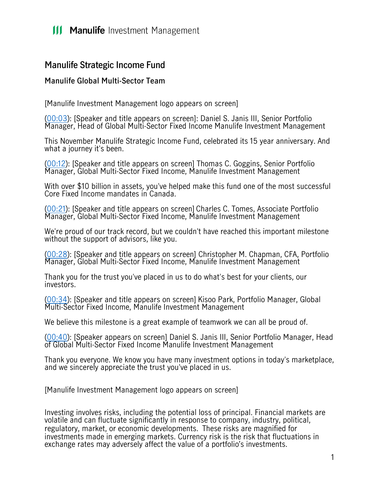## **III Manulife** Investment Management

## **Manulife Strategic Income Fund**

## **Manulife Global Multi-Sector Team**

[Manulife Investment Management logo appears on screen]

[\(00:03\)](https://www.rev.com/transcript-editor/Edit?token=xeuMshkM3NxhnVKdvL4hk9mfXm_LKpKlEIG7wXhZKXQd8U3ouBU6qEdqTOGnWN2GIVkt32cyNQ8oPaqRl1AzcLDJ4w8&loadFrom=DocumentDeeplink&ts=3.81): [Speaker and title appears on screen]: Daniel S. Janis III, Senior Portfolio Manager, Head of Global Multi-Sector Fixed Income Manulife Investment Management

This November Manulife Strategic Income Fund, celebrated its 15 year anniversary. And what a journey it's been.

[\(00:12\)](https://www.rev.com/transcript-editor/Edit?token=QTxO6O7tHCvuPMWs-XQ3ImVq9HtoEPSWB8oNZx6gsjvH3OO_5iu4HWsZVv9TlldwmF7D2tJ_tWgMIkUPsC7Fi60uIJQ&loadFrom=DocumentDeeplink&ts=12.44): [Speaker and title appears on screen] Thomas C. Goggins, Senior Portfolio Manager, Global Multi-Sector Fixed Income, Manulife Investment Management

With over \$10 billion in assets, you've helped make this fund one of the most successful Core Fixed Income mandates in Canada.

[\(00:21\)](https://www.rev.com/transcript-editor/Edit?token=i9CL65iQDUbkqMDuKjCPrjhzfP9ZKWSixp42Ff1Q9CwQKyxUvDBs7K_5nuK1XW8fEifp08SY-p0Tpb6tKfYnD00Cd_E&loadFrom=DocumentDeeplink&ts=21.08): [Speaker and title appears on screen] Charles C. Tomes, Associate Portfolio Manager, Global Multi-Sector Fixed Income, Manulife Investment Management

We're proud of our track record, but we couldn't have reached this important milestone without the support of advisors, like you.

[\(00:28\)](https://www.rev.com/transcript-editor/Edit?token=i9CL65iQDUbkqMDuKjCPrjhzfP9ZKWSixp42Ff1Q9CwQKyxUvDBs7K_5nuK1XW8fEifp08SY-p0Tpb6tKfYnD00Cd_E&loadFrom=DocumentDeeplink&ts=21.08): [Speaker and title appears on screen] Christopher M. Chapman, CFA, Portfolio Manager, Global Multi-Sector Fixed Income, Manulife Investment Management

Thank you for the trust you've placed in us to do what's best for your clients, our investors.

[\(00:34\)](https://www.rev.com/transcript-editor/Edit?token=_cc39oTStzJEO8Z9qh3bJ5RASStoewwmuPw7nyGBmCfmpHYDMMTKrPgvIrKoJoJjYD_SDfkE-Vhv0EtCD0QZXko9aDs&loadFrom=DocumentDeeplink&ts=34.88): [Speaker and title appears on screen] Kisoo Park, Portfolio Manager, Global Multi-Sector Fixed Income, Manulife Investment Management

We believe this milestone is a great example of teamwork we can all be proud of.

[\(00:40\)](https://www.rev.com/transcript-editor/Edit?token=YiMp2EQTGTn6qUmetzauqzkJTarqsUFLbknv1l_UEP6G6b86urtiWWI5MLMttC1D7QqPrDeiLqmn33gBYsvyDz3Ds5Q&loadFrom=DocumentDeeplink&ts=40.67): [Speaker appears on screen] Daniel S. Janis III, Senior Portfolio Manager, Head of Global Multi-Sector Fixed Income Manulife Investment Management

Thank you everyone. We know you have many investment options in today's marketplace, and we sincerely appreciate the trust you've placed in us.

[Manulife Investment Management logo appears on screen]

Investing involves risks, including the potential loss of principal. Financial markets are volatile and can fluctuate significantly in response to company, industry, political, regulatory, market, or economic developments. These risks are magnified for investments made in emerging markets. Currency risk is the risk that fluctuations in exchange rates may adversely affect the value of a portfolio's investments.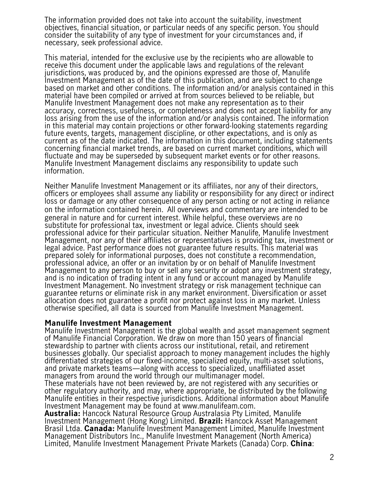The information provided does not take into account the suitability, investment objectives, financial situation, or particular needs of any specific person. You should consider the suitability of any type of investment for your circumstances and, if necessary, seek professional advice.

This material, intended for the exclusive use by the recipients who are allowable to receive this document under the applicable laws and regulations of the relevant jurisdictions, was produced by, and the opinions expressed are those of, Manulife Investment Management as of the date of this publication, and are subject to change based on market and other conditions. The information and/or analysis contained in this material have been compiled or arrived at from sources believed to be reliable, but Manulife Investment Management does not make any representation as to their accuracy, correctness, usefulness, or completeness and does not accept liability for any loss arising from the use of the information and/or analysis contained. The information in this material may contain projections or other forward-looking statements regarding future events, targets, management discipline, or other expectations, and is only as current as of the date indicated. The information in this document, including statements concerning financial market trends, are based on current market conditions, which will fluctuate and may be superseded by subsequent market events or for other reasons. Manulife Investment Management disclaims any responsibility to update such information.

Neither Manulife Investment Management or its affiliates, nor any of their directors, officers or employees shall assume any liability or responsibility for any direct or indirect loss or damage or any other consequence of any person acting or not acting in reliance on the information contained herein. All overviews and commentary are intended to be general in nature and for current interest. While helpful, these overviews are no substitute for professional tax, investment or legal advice. Clients should seek professional advice for their particular situation. Neither Manulife, Manulife Investment Management, nor any of their affiliates or representatives is providing tax, investment or legal advice. Past performance does not guarantee future results. This material was prepared solely for informational purposes, does not constitute a recommendation, professional advice, an offer or an invitation by or on behalf of Manulife Investment Management to any person to buy or sell any security or adopt any investment strategy, and is no indication of trading intent in any fund or account managed by Manulife Investment Management. No investment strategy or risk management technique can guarantee returns or eliminate risk in any market environment. Diversification or asset allocation does not guarantee a profit nor protect against loss in any market. Unless otherwise specified, all data is sourced from Manulife Investment Management.

## **Manulife Investment Management**

Manulife Investment Management is the global wealth and asset management segment of Manulife Financial Corporation. We draw on more than 150 years of financial stewardship to partner with clients across our institutional, retail, and retirement businesses globally. Our specialist approach to money management includes the highly differentiated strategies of our fixed-income, specialized equity, multi-asset solutions, and private markets teams—along with access to specialized, unaffiliated asset managers from around the world through our multimanager model.

These materials have not been reviewed by, are not registered with any securities or other regulatory authority, and may, where appropriate, be distributed by the following Manulife entities in their respective jurisdictions. Additional information about Manulife Investment Management may be found at www.manulifeam.com.

**Australia:** Hancock Natural Resource Group Australasia Pty Limited, Manulife Investment Management (Hong Kong) Limited. **Brazil:** Hancock Asset Management Brasil Ltda. **Canada:** Manulife Investment Management Limited, Manulife Investment Management Distributors Inc., Manulife Investment Management (North America) Limited, Manulife Investment Management Private Markets (Canada) Corp. **China**: